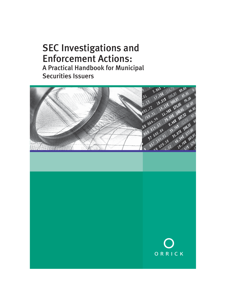# SEC Investigations and Enforcement Actions: A Practical Handbook for Municipal Securities Issuers

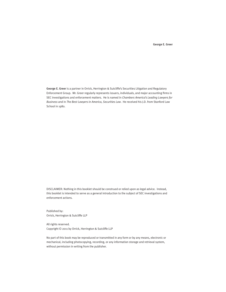#### George E. Greer

George E. Greer is a partner in Orrick, Herrington & Sutcliffe's Securities Litigation and Regulatory Enforcement Group. Mr. Greer regularly represents issuers, individuals, and major accounting firms in SEC investigations and enforcement matters. He is named in *Chambers America's Leading Lawyers for Business* and in *The Best Lawyers in America, Securities Law*. He received his J.D. from Stanford Law School in 1980.

DISCLAIMER: Nothing in this booklet should be construed or relied upon as legal advice. Instead, this booklet is intended to serve as a general introduction to the subject of SEC investigations and enforcement actions.

Published by: Orrick, Herrington & Sutcliffe LLP

All rights reserved. Copyright © 2011 by Orrick, Herrington & Sutcliffe LLP

No part of this book may be reproduced or transmitted in any form or by any means, electronic or mechanical, including photocopying, recording, or any information storage and retrieval system, without permission in writing from the publisher.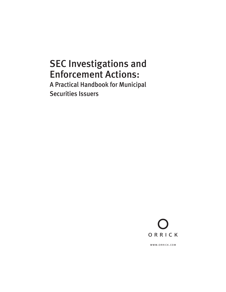# SEC Investigations and Enforcement Actions:

A Practical Handbook for Municipal Securities Issuers



www.orrick.com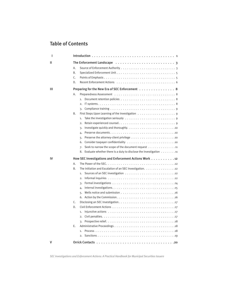## Table of Contents

| ı  |                                                                                                                   |
|----|-------------------------------------------------------------------------------------------------------------------|
| Ш  |                                                                                                                   |
|    | А.                                                                                                                |
|    | Β.                                                                                                                |
|    | C.                                                                                                                |
|    | D.                                                                                                                |
| Ш  | Preparing for the New Era of SEC Enforcement 8                                                                    |
|    | А.                                                                                                                |
|    | $\overline{1}$ .                                                                                                  |
|    | 2.                                                                                                                |
|    | 3.                                                                                                                |
|    | Β.                                                                                                                |
|    | Take the investigation seriously $\dots \dots \dots \dots \dots \dots \dots \dots \dots$<br>1.                    |
|    | $\overline{2}$ .                                                                                                  |
|    | Investigate quickly and thoroughly. $\ldots \ldots \ldots \ldots \ldots \ldots \ldots \ldots$<br>3.               |
|    | 4.                                                                                                                |
|    | Preserve the attorney-client privilege $\dots \dots \dots \dots \dots \dots \dots \dots \dots \dots$<br>5.        |
|    | 6.                                                                                                                |
|    | Seek to narrow the scope of the document request 11<br>7.                                                         |
|    | Evaluate whether there is a duty to disclose the investigation $\dots \dots \dots$<br>8.                          |
| ı٧ | How SEC Investigations and Enforcement Actions Work 12                                                            |
|    | А.                                                                                                                |
|    | The Initiation and Escalation of an SEC Investigation. 12<br>Β.                                                   |
|    | Sources of an SEC investigation $\ldots \ldots \ldots \ldots \ldots \ldots \ldots \ldots$<br>1.                   |
|    | Informal inquiries $\ldots \ldots \ldots \ldots \ldots \ldots \ldots \ldots \ldots \ldots \ldots$<br>2.           |
|    | 3.                                                                                                                |
|    | 4.                                                                                                                |
|    | 5.                                                                                                                |
|    |                                                                                                                   |
|    | C.                                                                                                                |
|    | D.                                                                                                                |
|    | Injunctive actions $\ldots \ldots \ldots \ldots \ldots \ldots \ldots \ldots \ldots \ldots \ldots$<br>$\mathbf{1}$ |
|    | 2.                                                                                                                |
|    | 3.                                                                                                                |
|    | Ε.                                                                                                                |
|    | $\mathbf{1}$ .                                                                                                    |
|    | 2.                                                                                                                |
|    |                                                                                                                   |

*SEC Investigations and Enforcement Actions: A Practical Handbook for Municipal Securities Issuers*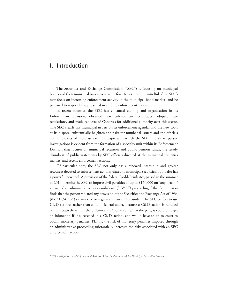### I. Introduction

 The Securities and Exchange Commission ("SEC") is focusing on municipal bonds and their municipal issuers as never before. Issuers must be mindful of the SEC's new focus on increasing enforcement activity in the municipal bond market, and be prepared to respond if approached in an SEC enforcement action.

 In recent months, the SEC has enhanced staffing and organization in its Enforcement Division, obtained new enforcement techniques, adopted new regulations, and made requests of Congress for additional authority over this sector. The SEC clearly has municipal issuers on its enforcement agenda, and the new tools at its disposal substantially heighten the risks for municipal issuers and the officials and employees of those issuers. The vigor with which the SEC intends to pursue investigations is evident from the formation of a specialty unit within its Enforcement Division that focuses on municipal securities and public pension funds, the steady drumbeat of public statements by SEC officials directed at the municipal securities market, and recent enforcement actions.

 Of particular note, the SEC not only has a renewed interest in and greater resources devoted to enforcement actions related to municipal securities, but it also has a powerful new tool. A provision of the federal Dodd-Frank Act, passed in the summer of 2010, permits the SEC to impose civil penalties of up to \$150,000 on "any person" as part of an administrative cease-and-desist ("C&D") proceeding if the Commission finds that the person violated any provision of the Securities and Exchange Act of 1934 (the "1934 Act") or any rule or regulation issued thereunder. The SEC prefers to use C&D actions, rather than suits in federal court, because a C&D action is handled administratively within the SEC—on its "home court." In the past, it could only get an injunction if it succeeded in a C&D action, and would have to go to court to obtain monetary penalties. Plainly, the risk of monetary penalties imposed through an administrative proceeding substantially increases the risks associated with an SEC enforcement action.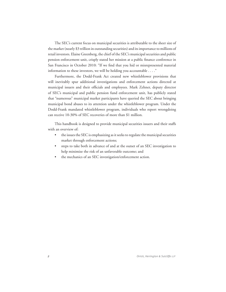The SEC's current focus on municipal securities is attributable to the sheer size of the market (nearly \$3 trillion in outstanding securities) and its importance to millions of retail investors. Elaine Greenberg, the chief of the SEC's municipal securities and public pension enforcement unit, crisply stated her mission at a public finance conference in San Francisco in October 2010: "If we find that you hid or misrepresented material information to these investors, we will be holding you accountable . . . ."

 Furthermore, the Dodd-Frank Act created new whistleblower provisions that will inevitably spur additional investigations and enforcement actions directed at municipal issuers and their officials and employees. Mark Zehner, deputy director of SEC's municipal and public pension fund enforcement unit, has publicly stated that "numerous" municipal market participants have queried the SEC about bringing municipal bond abuses to its attention under the whistleblower program. Under the Dodd-Frank mandated whistleblower program, individuals who report wrongdoing can receive 10-30% of SEC recoveries of more than \$1 million.

 This handbook is designed to provide municipal securities issuers and their staffs with an overview of:

- the issues the SEC is emphasizing as it seeks to regulate the municipal securities market through enforcement actions;
- steps to take both in advance of and at the outset of an SEC investigation to help minimize the risk of an unfavorable outcome; and
- the mechanics of an SEC investigation/enforcement action.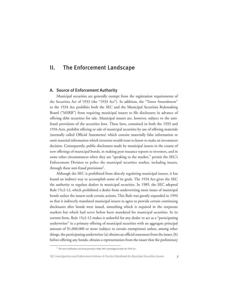### II. The Enforcement Landscape

#### A. Source of Enforcement Authority

 Municipal securities are generally exempt from the registration requirements of the Securities Act of 1933 (the "1933 Act"). In addition, the "Tower Amendment" to the 1934 Act prohibits both the SEC and the Municipal Securities Rulemaking Board ("MSRB") from requiring municipal issuers to file disclosures in advance of offering debt securities for sale. Municipal issuers are, however, subject to the antifraud provisions of the securities laws. These laws, contained in both the 1933 and 1934 Acts, prohibit offering or sale of municipal securities by use of offering materials (normally called Official Statements) which contain materially false information or omit material information which investors would want to know to make an investment decision. Consequently, public disclosures made by municipal issuers in the course of new offerings of municipal bonds, in making post-issuance reports to investors, and in some other circumstances when they are "speaking to the market," permit the SEC's Enforcement Division to police the municipal securities market, including issuers, through these anti-fraud provisions<sup>1</sup>.

 Although the SEC is prohibited from directly regulating municipal issuers, it has found an indirect way to accomplish some of its goals. The 1934 Act gives the SEC the authority to regulate dealers in municipal securities. In 1989, the SEC adopted Rule 15c2-12, which prohibited a dealer from underwriting most issues of municipal bonds unless the issuers took certain actions. This Rule was greatly expanded in 1994 so that it indirectly mandated municipal issuers to agree to provide certain continuing disclosures after bonds were issued, something which is required in the corporate markets but which had never before been mandated for municipal securities. In its current form, Rule 15c2-12 makes it unlawful for any dealer to act as a "participating underwriter" in a primary offering of municipal securities with an aggregate principal amount of \$1,000,000 or more (subject to certain exemptions) unless, among other things, the participating underwriter (a) obtains an official statement from the issuer, (b) before offering any bonds, obtains a representation from the issuer that the preliminary

<sup>&</sup>lt;sup>1</sup> The most well-known anti-fraud provision is Rule 10b-5 promulgated under the 1934 Act.

*SEC Investigations and Enforcement Actions: A Practical Handbook for Municipal Securities Issuers 3*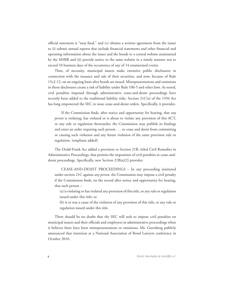official statement is "near final," and (c) obtains a written agreement from the issuer to (i) submit annual reports that include financial statements and other financial and operating information about the issuer and the bonds to a central website maintained by the MSRB and (ii) provide notice to the same website in a timely manner not to exceed 10 business days of the occurrence of any of 14 enumerated events.

 Thus, of necessity, municipal issuers make extensive public disclosures in connection with the issuance and sale of their securities, and now, because of Rule 15c2-12, on an ongoing basis after bonds are issued. Misrepresentations and omissions in those disclosures create a risk of liability under Rule 10b-5 and other laws. As noted, civil penalties imposed through administrative cease-and-desist proceedings have recently been added to the traditional liability risks. Section 21C(a) of the 1934 Act has long empowered the SEC to issue cease-and-desist orders. Specifically, it provides:

 If the Commission finds, after notice and opportunity for hearing, that *any person* is violating, has violated or is about to violate any provision of this ACT, or any rule or regulation thereunder, the Commission may publish its findings and enter an order requiring such person . . . to cease and desist from committing or causing such violation and any future violation of the same provision rule or regulation. (emphasis added)

 The Dodd-Frank Act added a provision to Section 21B, titled Civil Remedies in Administrative Proceedings, that permits the imposition of civil penalties in cease-anddesist proceedings. Specifically, new Section 21B(a)(2) provides:

 CEASE-AND-DESIST PROCEEDINGS – In any proceeding instituted under section 21C against *any person*, the Commission may impose a civil penalty if the Commission finds, on the record after notice and opportunity for hearing, that such person –

(a) is violating or has violated any provision of this title, or any rule or regulation issued under this title; or

(b) is or was a cause of the violation of any provision of this title, or any rule or regulation issued under this title.

 There should be no doubt that the SEC will seek to impose civil penalties on municipal issuers and their officials and employees in administrative proceedings when it believes there have been misrepresentations or omissions. Ms. Greenberg publicly announced that intention at a National Association of Bond Lawyers conference in October 2010.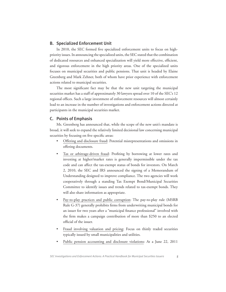#### B. Specialized Enforcement Unit

 In 2010, the SEC formed five specialized enforcement units to focus on highpriority issues. In announcing the specialized units, the SEC stated that the combination of dedicated resources and enhanced specialization will yield more effective, efficient, and rigorous enforcement in the high priority areas. One of the specialized units focuses on municipal securities and public pensions. That unit is headed by Elaine Greenberg and Mark Zehner, both of whom have prior experience with enforcement actions related to municipal securities.

 The most significant fact may be that the new unit targeting the municipal securities market has a staff of approximately 30 lawyers spread over 10 of the SEC's 12 regional offices. Such a large investment of enforcement resources will almost certainly lead to an increase in the number of investigations and enforcement actions directed at participants in the municipal securities market.

#### C. Points of Emphasis

 Ms. Greenberg has announced that, while the scope of the new unit's mandate is broad, it will seek to expand the relatively limited decisional law concerning municipal securities by focusing on five specific areas:

- Offering and disclosure fraud: Potential misrepresentations and omissions in offering documents.
- Tax or arbitrage-driven fraud: Profiting by borrowing at lower rates and investing at higher/market rates is generally impermissible under the tax code and can affect the tax-exempt status of bonds for investors. On March 2, 2010, the SEC and IRS announced the signing of a Memorandum of Understanding designed to improve compliance. The two agencies will work cooperatively through a standing Tax Exempt Bond/Municipal Securities Committee to identify issues and trends related to tax-exempt bonds. They will also share information as appropriate.
- Pay-to-play practices and public corruption: The pay-to-play rule (MSRB Rule G-37) generally prohibits firms from underwriting municipal bonds for an issuer for two years after a "municipal finance professional" involved with the firm makes a campaign contribution of more than \$250 to an elected official of the issuer.
- Fraud involving valuation and pricing: Focus on thinly traded securities typically issued by small municipalities and utilities.
- Public pension accounting and disclosure violations: At a June 22, 2011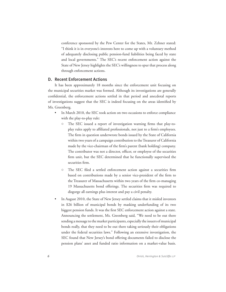conference sponsored by the Pew Center for the States, Mr. Zehner stated: "I think it is in everyone's interests here to come up with a voluntary method of adequately disclosing public pension-fund liabilities being faced by state and local governments." The SEC's recent enforcement action against the State of New Jersey highlights the SEC's willingness to spur that process along through enforcement actions.

#### D. Recent Enforcement Actions

 It has been approximately 18 months since the enforcement unit focusing on the municipal securities market was formed. Although its investigations are generally confidential, the enforcement actions settled in that period and anecdotal reports of investigations suggest that the SEC is indeed focusing on the areas identified by Ms. Greenberg.

- In March 2010, the SEC took action on two occasions to enforce compliance with the play-to-play rule:
	- $\circ$  The SEC issued a report of investigation warning firms that play-toplay rules apply to affiliated professionals, not just to a firm's employees. The firm in question underwrote bonds issued by the State of California within two years of a campaign contribution to the Treasurer of California made by the vice-chairman of the firm's parent (bank holding) company. The contributor was not a director, officer, or employee of the securities firm unit, but the SEC determined that he functionally supervised the securities firm.
	- $\circ$  The SEC filed a settled enforcement action against a securities firm based on contributions made by a senior vice-president of the firm to the Treasurer of Massachusetts within two years of the firm co-managing 19 Massachusetts bond offerings. The securities firm was required to disgorge all earnings plus interest and pay a civil penalty.
- In August 2010, the State of New Jersey settled claims that it misled investors in \$26 billion of municipal bonds by masking underfunding of its two biggest pension funds. It was the first SEC enforcement action against a state. Announcing the settlement, Ms. Greenberg said, "We need to be out there sending a message to the market participants, especially the issuers of municipal bonds really, that they need to be out there taking seriously their obligations under the federal securities laws." Following an extensive investigation, the SEC found that New Jersey's bond offering documents failed to disclose the pension plans' asset and funded ratio information on a market-value basis.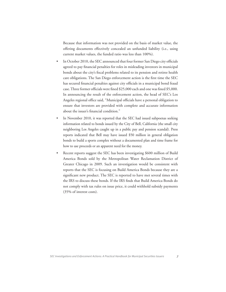Because that information was not provided on the basis of market value, the offering documents effectively concealed an unfunded liability (i.e., using current market values, the funded ratio was less than 100%).

- In October 2010, the SEC announced that four former San Diego city officials agreed to pay financial penalties for roles in misleading investors in municipal bonds about the city's fiscal problems related to its pension and retiree health care obligations. The San Diego enforcement action is the first time the SEC has secured financial penalties against city officials in a municipal bond fraud case. Three former officials were fined \$25,000 each and one was fined \$5,000. In announcing the result of the enforcement action, the head of SEC's Los Angeles regional office said, "Municipal officials have a personal obligation to ensure that investors are provided with complete and accurate information about the issuer's financial condition."
- In November 2010, it was reported that the SEC had issued subpoenas seeking information related to bonds issued by the City of Bell, California (the small city neighboring Los Angeles caught up in a public pay and pension scandal). Press reports indicated that Bell may have issued \$50 million in general obligation bonds to build a sports complex without a documented plan and time frame for how to use proceeds or an apparent need for the money.
- Recent reports suggest the SEC has been investigating \$600 million of Build America Bonds sold by the Metropolitan Water Reclamation District of Greater Chicago in 2009. Such an investigation would be consistent with reports that the SEC is focusing on Build America Bonds because they are a significant new product. The SEC is reported to have met several times with the IRS to discuss these bonds. If the IRS finds that Build America Bonds do not comply with tax rules on issue price, it could withhold subsidy payments (35% of interest costs).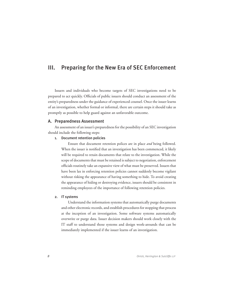### III. Preparing for the New Era of SEC Enforcement

 Issuers and individuals who become targets of SEC investigations need to be prepared to act quickly. Officials of public issuers should conduct an assessment of the entity's preparedness under the guidance of experienced counsel. Once the issuer learns of an investigation, whether formal or informal, there are certain steps it should take as promptly as possible to help guard against an unfavorable outcome.

#### A. Preparedness Assessment

 An assessment of an issuer's preparedness for the possibility of an SEC investigation should include the following steps:

#### 1. Document retention policies

 Ensure that document retention polices are in place *and* being followed. When the issuer is notified that an investigation has been commenced, it likely will be required to retain documents that relate to the investigation. While the scope of documents that must be retained is subject to negotiation, enforcement officials routinely take an expansive view of what must be preserved. Issuers that have been lax in enforcing retention policies cannot suddenly become vigilant without risking the appearance of having something to hide. To avoid creating the appearance of hiding or destroying evidence, issuers should be consistent in reminding employees of the importance of following retention policies.

#### 2. IT systems

 Understand the information systems that automatically purge documents and other electronic records, and establish procedures for stopping that process at the inception of an investigation. Some software systems automatically overwrite or purge data. Issuer decision makers should work closely with the IT staff to understand those systems and design work-arounds that can be immediately implemented if the issuer learns of an investigation.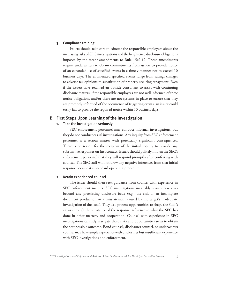#### 3. Compliance training

 Issuers should take care to educate the responsible employees about the increasing risks of SEC investigations and the heightened disclosure obligations imposed by the recent amendments to Rule 15c2-12. Those amendments require underwriters to obtain commitments from issuers to provide notice of an expanded list of specified events in a timely manner not to exceed 10 business days. The enumerated specified events range from ratings changes to adverse tax opinions to substitution of property securing repayment. Even if the issuers have retained an outside consultant to assist with continuing disclosure matters, if the responsible employees are not well informed of these notice obligations and/or there are not systems in place to ensure that they are promptly informed of the occurrence of triggering events, an issuer could easily fail to provide the required notice within 10 business days.

#### B. First Steps Upon Learning of the Investigation

#### 1. Take the investigation seriously

 SEC enforcement personnel may conduct informal investigations, but they do not conduct casual investigations. Any inquiry from SEC enforcement personnel is a serious matter with potentially significant consequences. There is no reason for the recipient of the initial inquiry to provide any substantive responses on first contact. Issuers should politely inform the SEC's enforcement personnel that they will respond promptly after conferring with counsel. The SEC staff will not draw any negative inferences from that initial response because it is standard operating procedure.

#### 2. Retain experienced counsel

 The issuer should then seek guidance from counsel with experience in SEC enforcement matters. SEC investigations invariably spawn new risks beyond any preexisting disclosure issue (e.g., the risk of an incomplete document production or a misstatement caused by the target's inadequate investigation of the facts). They also present opportunities to shape the Staff's views through the substance of the response, reference to what the SEC has done in other matters, and cooperation. Counsel with experience in SEC investigations can help navigate these risks and opportunities so as to obtain the best possible outcome. Bond counsel, disclosures counsel, or underwriters counsel may have ample experience with disclosures but insufficient experience with SEC investigations and enforcement.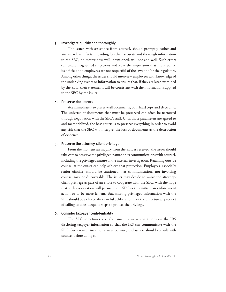#### 3. Investigate quickly and thoroughly

 The issuer, with assistance from counsel, should promptly gather and analyze relevant facts. Providing less than accurate and thorough information to the SEC, no matter how well intentioned, will not end well. Such errors can create heightened suspicions and leave the impression that the issuer or its officials and employees are not respectful of the laws and/or the regulators. Among other things, the issuer should interview employees with knowledge of the underlying events or information to ensure that, if they are later examined by the SEC, their statements will be consistent with the information supplied to the SEC by the issuer.

#### 4. Preserve documents

 Act immediately to preserve all documents, both hard copy and electronic. The universe of documents that must be preserved can often be narrowed through negotiation with the SEC's staff. Until those parameters are agreed to and memorialized, the best course is to preserve everything in order to avoid any risk that the SEC will interpret the loss of documents as the destruction of evidence.

#### 5. Preserve the attorney-client privilege

 From the moment an inquiry from the SEC is received, the issuer should take care to preserve the privileged nature of its communications with counsel, including the privileged nature of the internal investigation. Retaining outside counsel at the outset can help achieve that protection. Employees, especially senior officials, should be cautioned that communications not involving counsel may be discoverable. The issuer may decide to waive the attorneyclient privilege as part of an effort to cooperate with the SEC, with the hope that such cooperation will persuade the SEC not to initiate an enforcement action or to be more lenient. But, sharing privileged information with the SEC should be a choice after careful deliberation, not the unfortunate product of failing to take adequate steps to protect the privilege.

#### 6. Consider taxpayer confidentiality

 The SEC sometimes asks the issuer to waive restrictions on the IRS disclosing taxpayer information so that the IRS can communicate with the SEC. Such waiver may not always be wise, and issuers should consult with counsel before doing so.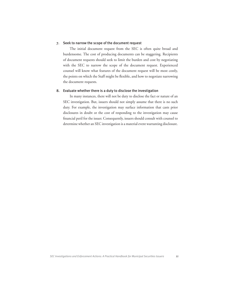#### 7. Seek to narrow the scope of the document request

 The initial document request from the SEC is often quite broad and burdensome. The cost of producing documents can be staggering. Recipients of document requests should seek to limit the burden and cost by negotiating with the SEC to narrow the scope of the document request. Experienced counsel will know what features of the document request will be most costly, the points on which the Staff might be flexible, and how to negotiate narrowing the document requests.

#### 8. Evaluate whether there is a duty to disclose the investigation

In many instances, there will not be duty to disclose the fact or nature of an SEC investigation. But, issuers should not simply assume that there is no such duty. For example, the investigation may surface information that casts prior disclosures in doubt or the cost of responding to the investigation may cause financial peril for the issuer. Consequently, issuers should consult with counsel to determine whether an SEC investigation is a material event warranting disclosure.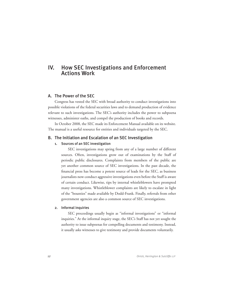### IV. How SEC Investigations and Enforcement Actions Work

#### A. The Power of the SEC

 Congress has vested the SEC with broad authority to conduct investigations into possible violations of the federal securities laws and to demand production of evidence relevant to such investigations. The SEC's authority includes the power to subpoena witnesses, administer oaths, and compel the production of books and records.

 In October 2008, the SEC made its Enforcement Manual available on its website. The manual is a useful resource for entities and individuals targeted by the SEC.

### B. The Initiation and Escalation of an SEC Investigation

#### 1. Sources of an SEC investigation

 SEC investigations may spring from any of a large number of different sources. Often, investigations grow out of examinations by the Staff of periodic public disclosures. Complaints from members of the public are yet another common source of SEC investigations. In the past decade, the financial press has become a potent source of leads for the SEC, as business journalists now conduct aggressive investigations even before the Staff is aware of certain conduct. Likewise, tips by internal whistleblowers have prompted many investigations. Whistleblower complaints are likely to escalate in light of the "bounties" made available by Dodd-Frank. Finally, referrals from other government agencies are also a common source of SEC investigations.

#### 2. Informal inquiries

 SEC proceedings usually begin as "informal investigations" or "informal inquiries." At the informal inquiry stage, the SEC's Staff has not yet sought the authority to issue subpoenas for compelling documents and testimony. Instead, it usually asks witnesses to give testimony and provide documents voluntarily.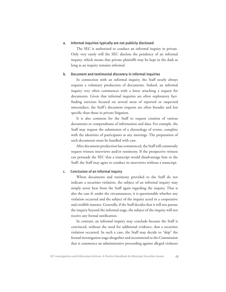#### a. Informal inquiries typically are not publicly disclosed

 The SEC is authorized to conduct an informal inquiry in private. Only very rarely will the SEC disclose the pendency of an informal inquiry, which means that private plaintiffs may be kept in the dark as long as an inquiry remains informal.

#### b. Document and testimonial discovery in informal inquiries

 In connection with an informal inquiry, the Staff nearly always requests a voluntary production of documents. Indeed, an informal inquiry very often commences with a letter attaching a request for documents. Given that informal inquiries are often exploratory factfinding exercises focused on several areas of reported or suspected misconduct, the Staff's document requests are often broader and less specific than those in private litigation.

 It is also common for the Staff to request creation of various documents or compendiums of information and data. For example, the Staff may request the submission of a chronology of events, complete with the identities of participants at any meetings. The preparation of such documents must be handled with care.

 After document production has commenced, the Staff will commonly request witness interviews and/or testimony. If the prospective witness can persuade the SEC that a transcript would disadvantage him or the Staff, the Staff may agree to conduct its interviews without a transcript.

#### c. Conclusion of an informal inquiry

 Where documents and testimony provided to the Staff do not indicate a securities violation, the subject of an informal inquiry may simply never hear from the Staff again regarding the inquiry. That is also the case if, under the circumstances, it is questionable whether any violation occurred and the subject of the inquiry acted in a cooperative and credible manner. Generally, if the Staff decides that it will not pursue the inquiry beyond the informal stage, the subject of the inquiry will not receive any formal notification.

 In contrast, an informal inquiry may conclude because the Staff is convinced, without the need for additional evidence, that a securities violation occurred. In such a case, the Staff may decide to "skip" the formal investigation stage altogether and recommend to the Commission that it commence an administrative proceeding against alleged violators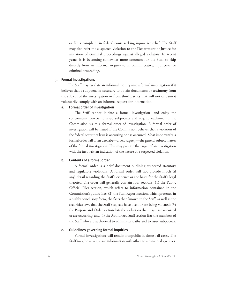or file a complaint in federal court seeking injunctive relief. The Staff may also refer the suspected violation to the Department of Justice for initiation of criminal proceedings against alleged violators. In recent years, it is becoming somewhat more common for the Staff to skip directly from an informal inquiry to an administrative, injunctive, or criminal proceeding.

#### 3. Formal investigations

 The Staff may escalate an informal inquiry into a formal investigation if it believes that a subpoena is necessary to obtain documents or testimony from the subject of the investigation or from third parties that will not or cannot voluntarily comply with an informal request for information.

#### a. Formal order of investigation

The Staff cannot initiate a formal investigation—and enjoy the concomitant powers to issue subpoenas and require oaths—until the Commission issues a formal order of investigation. A formal order of investigation will be issued if the Commission believes that a violation of the federal securities laws is occurring or has occurred. Most importantly, a formal order will often describe—albeit vaguely—the general subject matter of the formal investigation. This may provide the target of an investigation with the first written indication of the nature of a suspected violation.

#### b. Contents of a formal order

 A formal order is a brief document outlining suspected statutory and regulatory violations. A formal order will not provide much (if any) detail regarding the Staff's evidence or the bases for the Staff's legal theories. The order will generally contain four sections: (1) the Public Official Files section, which refers to information contained in the Commission's public files; (2) the Staff Report section, which presents, in a highly conclusory form, the facts then known to the Staff, as well as the securities laws that the Staff suspects have been or are being violated; (3) the Purpose and Order section lists the violations that may have occurred or are occurring; and (4) the Authorized Staff section lists the members of the Staff who are authorized to administer oaths and to issue subpoenas.

#### c. Guidelines governing formal inquiries

 Formal investigations will remain nonpublic in almost all cases. The Staff may, however, share information with other governmental agencies.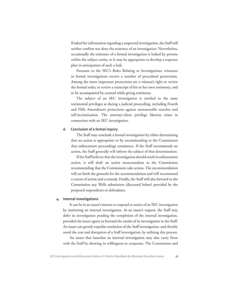If asked for information regarding a suspected investigation, the Staff will neither confirm nor deny the existence of an investigation. Nevertheless, occasionally the existence of a formal investigation is leaked by persons within the subject entity, so it may be appropriate to develop a response plan in anticipation of such a leak.

 Pursuant to the SEC's Rules Relating to Investigations, witnesses in formal investigations receive a number of procedural protections. Among the more important protections are a witness's right to review the formal order, to review a transcript of his or her own testimony, and to be accompanied by counsel while giving testimony.

 The subject of an SEC investigation is entitled to the same testimonial privileges as during a judicial proceeding, including Fourth and Fifth Amendment protections against unreasonable searches and self-incrimination. The attorney-client privilege likewise exists in connection with an SEC investigation.

#### d. Conclusion of a formal inquiry

 The Staff may conclude a formal investigation by either determining that no action is appropriate or by recommending to the Commission that enforcement proceedings commence. If the Staff recommends no action, the Staff generally will inform the subject of that determination.

 If the Staff believes that the investigation should result in enforcement action, it will draft an action memorandum to the Commission recommending that the Commission take action. The recommendation will set forth the grounds for the recommendation and will recommend a course of action and a remedy. Finally, the Staff will also forward to the Commission any Wells submission (discussed below) provided by the proposed respondents or defendants.

#### 4. Internal investigations

 It can be in an issuer's interest to respond to notice of an SEC investigation by instituting an internal investigation. At an issuer's request, the Staff may defer its investigation pending the completion of the internal investigation, provided the issuer agrees to forward the results of its investigation to the Staff. An issuer can greatly expedite resolution of the Staff investigation, and thereby avoid the cost and disruption of a Staff investigation, by utilizing this process.

 An issuer that launches an internal investigation may also curry favor with the Staff by showing its willingness to cooperate. The Commission and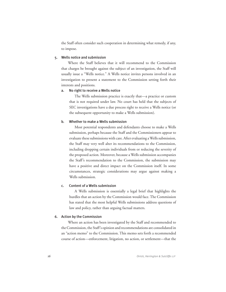the Staff often consider such cooperation in determining what remedy, if any, to impose.

#### 5. Wells notice and submission

 Where the Staff believes that it will recommend to the Commission that charges be brought against the subject of an investigation, the Staff will usually issue a "Wells notice." A Wells notice invites persons involved in an investigation to present a statement to the Commission setting forth their interests and positions.

#### a. No right to receive a Wells notice

 The Wells submission practice is exactly that—a practice or custom that is not required under law. No court has held that the subjects of SEC investigations have a due process right to receive a Wells notice (or the subsequent opportunity to make a Wells submission).

#### b. Whether to make a Wells submission

 Most potential respondents and defendants choose to make a Wells submission, perhaps because the Staff and the Commissioners appear to evaluate these submissions with care. After evaluating a Wells submission, the Staff may very well alter its recommendations to the Commission, including dropping certain individuals from or reducing the severity of the proposed action. Moreover, because a Wells submission accompanies the Staff's recommendation to the Commission, the submission may have a positive and direct impact on the Commission itself. In some circumstances, strategic considerations may argue against making a Wells submission.

#### c. Content of a Wells submission

 A Wells submission is essentially a legal brief that highlights the hurdles that an action by the Commission would face. The Commission has stated that the most helpful Wells submissions address questions of law and policy, rather than arguing factual matters.

#### 6. Action by the Commission

 Where an action has been investigated by the Staff and recommended to the Commission, the Staff's opinion and recommendations are consolidated in an "action memo" to the Commission. This memo sets forth a recommended course of action—enforcement, litigation, no action, or settlement—that the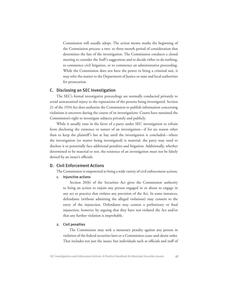Commission will usually adopt. The action memo marks the beginning of the Commission process: a two- to three-month period of consideration that determines the fate of the investigation. The Commission conducts a closed meeting to consider the Staff's suggestions and to decide either to do nothing, to commence civil litigation, or to commence an administrative proceeding. While the Commission does not have the power to bring a criminal suit, it may refer the matter to the Department of Justice or state and local authorities for prosecution.

#### C. Disclosing an SEC Investigation

 The SEC's formal investigative proceedings are normally conducted privately to avoid unwarranted injury to the reputations of the persons being investigated. Section 21 of the 1934 Act does authorize the Commission to publish information concerning violations it uncovers during the course of its investigations. Courts have sustained the Commission's right to investigate subjects privately and publicly.

 While it usually runs in the favor of a party under SEC investigation to refrain from disclosing the existence or nature of an investigation—if for no reason other than to keep the plaintiff's bar at bay until the investigation is concluded—where the investigation (or matter being investigated) is material, the party may need to disclose it or potentially face additional penalties and litigation. Additionally, whether determined to be material or not, the existence of an investigation must not be falsely denied by an issuer's officials.

#### D. Civil Enforcement Actions

The Commission is empowered to bring a wide variety of civil enforcement actions.

1. Injunctive actions

 Section 20(b) of the Securities Act gives the Commission authority to bring an action to enjoin any person engaged in or about to engage in any act or practice that violates any provision of the Act. In some instances, defendants (without admitting the alleged violations) may consent to the entry of the injunction. Defendants may contest a preliminary or final injunction, however, by arguing that they have not violated the Act and/or that any further violation is improbable.

#### 2. Civil penalties

 The Commission may seek a monetary penalty against any person in violation of the federal securities laws or a Commission cease-and-desist order. That includes not just the issuer, but individuals such as officials and staff of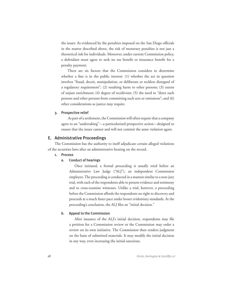the issuer. As evidenced by the penalties imposed on the San Diego officials in the matter described above, the risk of monetary penalties is not just a theoretical risk for individuals. Moreover, under current Commission policy, a defendant must agree to seek no tax benefit or insurance benefit for a penalty payment.

 There are six factors that the Commission considers to determine whether a fine is in the public interest: (1) whether the act in question involves "fraud, deceit, manipulation, or deliberate or reckless disregard of a regulatory requirement"; (2) resulting harm to other persons; (3) extent of unjust enrichment; (4) degree of recidivism; (5) the need to "deter such persons and other persons from committing such acts or omissions"; and (6) other considerations as justice may require.

#### 3. Prospective relief

 As part of a settlement, the Commission will often require that a company agree to an "undertaking"—a particularized prospective action—designed to ensure that the issuer cannot and will not commit the same violation again.

#### E. Administrative Proceedings

 The Commission has the authority to itself adjudicate certain alleged violations of the securities laws after an administrative hearing on the record.

#### 1. Process

### a. Conduct of hearings

 Once initiated, a formal proceeding is usually tried before an Administrative Law Judge ("ALJ"), an independent Commission employee. The proceeding is conducted in a manner similar to a non-jury trial, with each of the respondents able to present evidence and testimony and to cross-examine witnesses. Unlike a trial, however, a proceeding before the Commission affords the respondents no right to discovery and proceeds at a much faster pace under looser evidentiary standards. At the proceeding's conclusion, the ALJ files an "initial decision."

#### b. Appeal to the Commission

 After issuance of the ALJ's initial decision, respondents may file a petition for a Commission review or the Commission may order a review on its own initiative. The Commission then renders judgment on the basis of submitted materials. It may modify the initial decision in any way, even increasing the initial sanctions.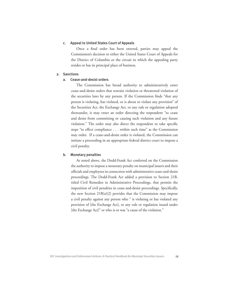#### c. Appeal to United States Court of Appeals

 Once a final order has been entered, parties may appeal the Commission's decision to either the United States Court of Appeals for the District of Columbia or the circuit in which the appealing party resides or has its principal place of business.

#### 2. Sanctions

#### a. Cease-and-desist orders

 The Commission has broad authority to administratively enter cease-and-desist orders that restrain violation or threatened violation of the securities laws by any person. If the Commission finds "that any person is violating, has violated, or is about to violate any provision" of the Securities Act, the Exchange Act, or any rule or regulation adopted thereunder, it may enter an order directing the respondent "to cease and desist from committing or causing such violation and any future violation." The order may also direct the respondent to take specific steps "to effect compliance . . . within such time" as the Commission may order. If a cease-and-desist order is violated, the Commission can initiate a proceeding in an appropriate federal district court to impose a civil penalty.

#### b. Monetary penalties

As noted above, the Dodd-Frank Act conferred on the Commission the authority to impose a monetary penalty on municipal issuers and their officials and employees in connection with administrative cease-and-desist proceedings. The Dodd-Frank Act added a provision to Section 21B, titled Civil Remedies in Administrative Proceedings, that permits the imposition of civil penalties in cease-and-desist proceedings. Specifically, the new Section 21B(a)(2) provides that the Commission may impose a civil penalty against any person who " is violating or has violated any provision of [the Exchange Act], or any rule or regulation issued under [the Exchange Act]" or who is or was "a cause of the violation."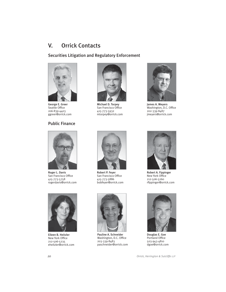## V. Orrick Contacts

Securities Litigation and Regulatory Enforcement



George E. Greer Seattle Office 206-839-4403 ggreer@orrick.com

### Public Finance



Michael D. Torpey San Francisco Office 415-773-5932 mtorpey@orrick.com



James A. Meyers Washington, D.C. Office 202-339-8487 jmeyers@orrick.com



Roger L. Davis San Francisco Office 415-773-5758 rogerdavis@orrick.com



Eileen B. Heitzler New York Office 212-506-5235 eheitzler@orrick.com



Robert P. Feyer San Francisco Office 415-773-5886 bobfeyer@orrick.com

Pauline A. Schneider Washington, D.C. Office 203-339-8483 paschneider@orrick.com



Robert A. Fippinger New York Office 212-506-5260 rfippinger@orrick.com



Douglas E. Goe Portland Office 503-943-4810 dgoe@orrick.com

*20 Orrick, Herrington & Sutcliffe LLP*